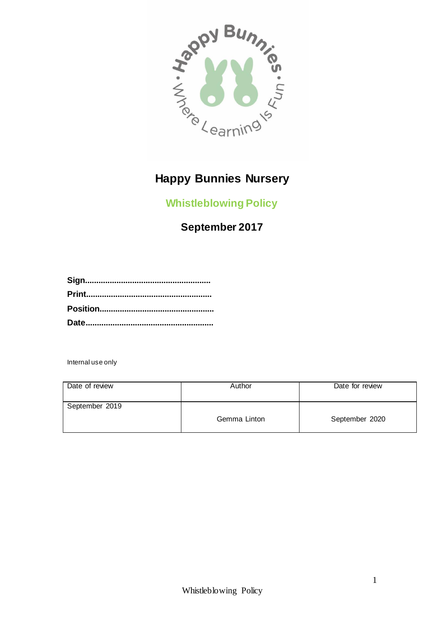

# **Happy Bunnies Nursery**

**Whistleblowing Policy**

## **September 2017**

Internal use only

| Date of review | Author       | Date for review |
|----------------|--------------|-----------------|
| September 2019 | Gemma Linton | September 2020  |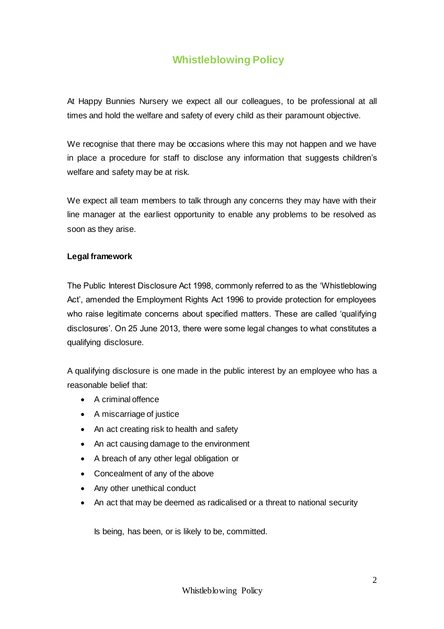### **Whistleblowing Policy**

At Happy Bunnies Nursery we expect all our colleagues, to be professional at all times and hold the welfare and safety of every child as their paramount objective.

We recognise that there may be occasions where this may not happen and we have in place a procedure for staff to disclose any information that suggests children's welfare and safety may be at risk.

We expect all team members to talk through any concerns they may have with their line manager at the earliest opportunity to enable any problems to be resolved as soon as they arise.

#### **Legal framework**

The Public Interest Disclosure Act 1998, commonly referred to as the 'Whistleblowing Act', amended the Employment Rights Act 1996 to provide protection for employees who raise legitimate concerns about specified matters. These are called 'qualifying disclosures'. On 25 June 2013, there were some legal changes to what constitutes a qualifying disclosure.

A qualifying disclosure is one made in the public interest by an employee who has a reasonable belief that:

- A criminal offence
- A miscarriage of justice
- An act creating risk to health and safety
- An act causing damage to the environment
- A breach of any other legal obligation or
- Concealment of any of the above
- Any other unethical conduct
- An act that may be deemed as radicalised or a threat to national security

Is being, has been, or is likely to be, committed.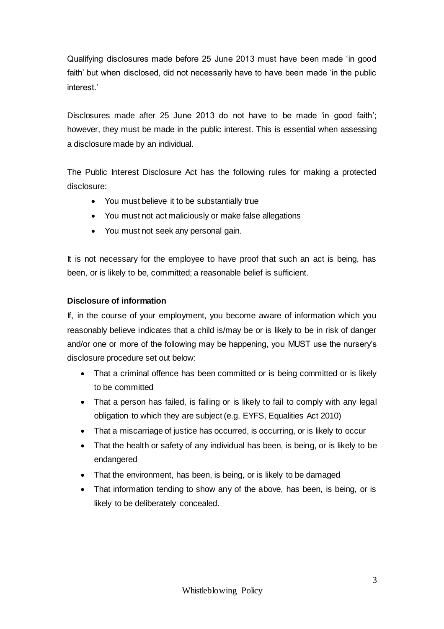Qualifying disclosures made before 25 June 2013 must have been made 'in good faith' but when disclosed, did not necessarily have to have been made 'in the public interest.'

Disclosures made after 25 June 2013 do not have to be made 'in good faith'; however, they must be made in the public interest. This is essential when assessing a disclosure made by an individual.

The Public Interest Disclosure Act has the following rules for making a protected disclosure:

- You must believe it to be substantially true
- You must not act maliciously or make false allegations
- You must not seek any personal gain.

It is not necessary for the employee to have proof that such an act is being, has been, or is likely to be, committed; a reasonable belief is sufficient.

#### **Disclosure of information**

If, in the course of your employment, you become aware of information which you reasonably believe indicates that a child is/may be or is likely to be in risk of danger and/or one or more of the following may be happening, you MUST use the nursery's disclosure procedure set out below:

- That a criminal offence has been committed or is being committed or is likely to be committed
- That a person has failed, is failing or is likely to fail to comply with any legal obligation to which they are subject (e.g. EYFS, Equalities Act 2010)
- That a miscarriage of justice has occurred, is occurring, or is likely to occur
- That the health or safety of any individual has been, is being, or is likely to be endangered
- That the environment, has been, is being, or is likely to be damaged
- That information tending to show any of the above, has been, is being, or is likely to be deliberately concealed.